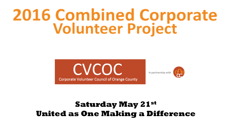# **2016 Combined Corporate<br>Volunteer Project**





### **Saturday May 21st United as One Making a Difference**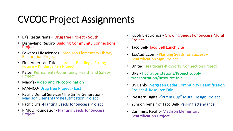### CVCOC Project Assignments

- BJ's Restaurants Drug free Project South
- Disneyland Resort- Building Community Connections Project
- Edwards Lifesciences- Madison Elementary Library Restoration Project
- First American Title Insurance-Building a Strong Future – Kindergarten Project
- Kaiser Permanente-Community Health and Safety Project
- Macy's-Video and PR coordination
- PAAMCO- Drug free Project East
- Pacific Dental Services/The Smile Generation-Madison Elementary Beautification Project
- Pacific Life -Planting Seeds for Success Project
- PIMCO Foundation- Planting Seeds for Success Project
- Ricoh Electronics Growing Seeds For Success Mural Project
- Taco Bell-Taco Bell Lunch Site
- TaxAudit.com Planting Seeds for Success Beautification Sign Project
- United Healthcare-KidWorks Connection Project
- UPS Hydration stations/Project supply transportation/Resource fair
- US Bank- Evergreen Cedar Community Beautification Project & Resource Fair
- Western Digital-"Put In Cup" Mural Design Project
- Yum on behalf of Taco Bell- Parking attendance
- Cummins Pacific- Madison Elementary Beautification Project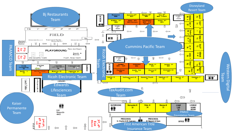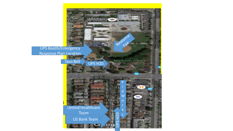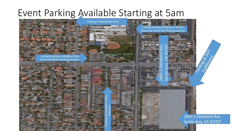### Event Parking Available Starting at 5am

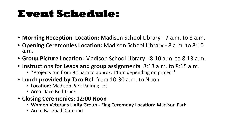## **Event Schedule:**

- **Morning Reception Location:** Madison School Library 7 a.m. to 8 a.m.
- **Opening Ceremonies Location:** Madison School Library 8 a.m. to 8:10 a.m.
- **Group Picture Location:** Madison School Library 8:10 a.m. to 8:13 a.m.
- **Instructions for Leads and group assignments** 8:13 a.m. to 8:15 a.m.
	- \*Projects run from 8:15am to approx. 11am depending on project\*
- **Lunch provided by Taco Bell** from 10:30 a.m. to Noon
	- **Location:** Madison Park Parking Lot
	- **Area:** Taco Bell Truck
- **Closing Ceremonies: 12:00 Noon**
	- **Women Veterans Unity Group - Flag Ceremony Location:** Madison Park
	- **Area:** Baseball Diamond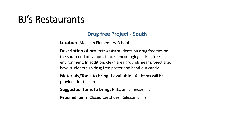### BJ's Restaurants

#### **Drug free Project - South**

**Location:** Madison Elementary School

**Description of project:** Assist students on drug free ties on the south end of campus fences encouraging a drug free environment. In addition, clean area grounds near project site, have students sign drug free poster and hand out candy.

**Materials/Tools to bring if available:** All Items will be provided for this project.

**Suggested items to bring:** Hats, and, sunscreen.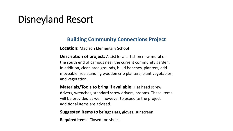### Disneyland Resort

#### **Building Community Connections Project**

**Location:** Madison Elementary School

**Description of project:** Assist local artist on new mural on the south end of campus near the current community garden. In addition, clean area grounds, build benches, planters, add moveable free standing wooden crib planters, plant vegetables, and vegetation.

**Materials/Tools to bring if available:** Flat head screw drivers, wrenches, standard screw drivers, brooms. These items will be provided as well, however to expedite the project additional items are advised.

**Suggested items to bring: Hats, gloves, sunscreen.** 

**Required items:** Closed toe shoes.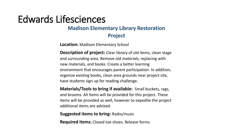### Edwards Lifesciences

### **Madison Elementary Library Restoration**

**Project**

**Location:** Madison Elementary School

**Description of project:** Clear library of old items, clean stage and surrounding area. Remove old materials, replacing with new materials, and books. Create a better learning environment that encourages parent participation. In addition, organize existing books, clean area grounds near project site, have students sign up for reading challenge.

**Materials/Tools to bring if available:** Small buckets, rags, and brooms. All Items will be provided for this project. These items will be provided as well, however to expedite the project additional items are advised.

**Suggested items to bring:** Radio/music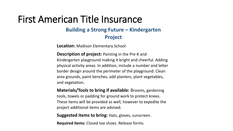### First American Title Insurance

### **Building a Strong Future – Kindergarten Project**

**Location:** Madison Elementary School

**Description of project:** Painting in the Pre-K and Kindergarten playground making it bright and cheerful. Adding physical activity areas. In addition, include a number and letter border design around the perimeter of the playground. Clean area grounds, paint benches, add planters, plant vegetables, and vegetation.

**Materials/Tools to bring if available:** Brooms, gardening tools, towels or padding for ground work to protect knees. These items will be provided as well, however to expedite the project additional items are advised.

**Suggested items to bring:** Hats, gloves, sunscreen.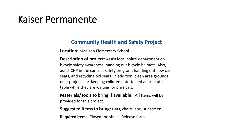### Kaiser Permanente

#### **Community Health and Safety Project**

**Location:** Madison Elementary School

**Description of project:** Assist local police department on bicycle safety awareness; handing out bicycle helmets. Also, assist CHP in the car seat safety program; handing out new car seats, and recycling old seats. In addition, clean area grounds near project site, keeping children entertained at art crafts table while they are waiting for physicals.

**Materials/Tools to bring if available:** All Items will be provided for this project.

**Suggested items to bring:** Hats, chairs, and, sunscreen.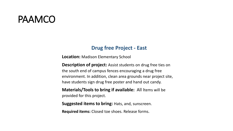### PAAMCO

#### **Drug free Project - East**

**Location:** Madison Elementary School

**Description of project:** Assist students on drug free ties on the south end of campus fences encouraging a drug free environment. In addition, clean area grounds near project site, have students sign drug free poster and hand out candy.

**Materials/Tools to bring if available:** All Items will be provided for this project.

**Suggested items to bring:** Hats, and, sunscreen.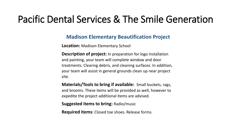### Pacific Dental Services & The Smile Generation

#### **Madison Elementary Beautification Project**

**Location:** Madison Elementary School

**Description of project:** In preparation for logo installation and painting, your team will complete window and door treatments. Clearing debris, and cleaning surfaces. In addition, your team will assist in general grounds clean up near project site.

**Materials/Tools to bring if available:** Small buckets, rags, and brooms. These items will be provided as well, however to expedite the project additional items are advised.

**Suggested items to bring:** Radio/music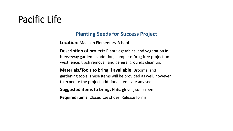### Pacific Life

#### **Planting Seeds for Success Project**

**Location:** Madison Elementary School

**Description of project:** Plant vegetables, and vegetation in breezeway garden. In addition, complete Drug free project on west fence, trash removal, and general grounds clean up.

**Materials/Tools to bring if available:** Brooms, and gardening tools. These items will be provided as well, however to expedite the project additional items are advised.

**Suggested items to bring:** Hats, gloves, sunscreen.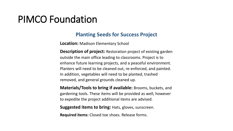### PIMCO Foundation

#### **Planting Seeds for Success Project**

**Location:** Madison Elementary School

**Description of project:** Restoration project of existing garden outside the main office leading to classrooms. Project is to enhance future learning projects, and a peaceful environment. Planters will need to be cleaned out, re-enforced, and painted. In addition, vegetables will need to be planted, trashed removed, and general grounds cleaned up.

**Materials/Tools to bring if available:** Brooms, buckets, and gardening tools. These items will be provided as well, however to expedite the project additional items are advised.

**Suggested items to bring: Hats, gloves, sunscreen.**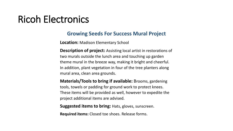### Ricoh Electronics

#### **Growing Seeds For Success Mural Project**

**Location:** Madison Elementary School

**Description of project:** Assisting local artist in restorations of two murals outside the lunch area and touching up garden theme mural in the breeze way, making it bright and cheerful. In addition, plant vegetation in four of the tree planters along mural area, clean area grounds.

**Materials/Tools to bring if available:** Brooms, gardening tools, towels or padding for ground work to protect knees. These items will be provided as well, however to expedite the project additional items are advised.

**Suggested items to bring: Hats, gloves, sunscreen.**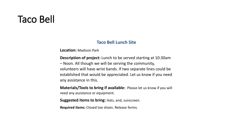### Taco Bell

#### **Taco Bell Lunch Site**

**Location:** Madison Park

**Description of project:** Lunch to be served starting at 10:30am – Noon. All though we will be serving the community, volunteers will have wrist bands. If two separate lines could be established that would be appreciated. Let us know if you need any assistance in this.

**Materials/Tools to bring if available:** Please let us know if you will need any assistance or equipment.

**Suggested items to bring:** Hats, and, sunscreen.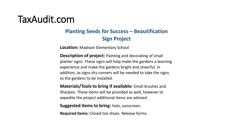### TaxAudit.com

### **Planting Seeds for Success – Beautification Sign Project**

**Location:** Madison Elementary School

**Description of project:** Painting and decorating of small planter signs. These signs will help make the gardens a learning experience and make the gardens bright and cheerful. In addition, as signs dry runners will be needed to take the signs to the gardens to be installed.

**Materials/Tools to bring if available:** Small brushes and Sharpies. These items will be provided as well, however to expedite the project additional items are advised.

**Suggested items to bring:** Hats, sunscreen.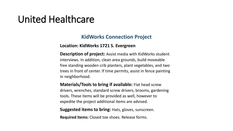### United Healthcare

#### **KidWorks Connection Project**

#### **Location: KidWorks 1721 S. Evergreen**

**Description of project:** Assist media with KidWorks student interviews. In addition, clean area grounds, build moveable free standing wooden crib planters, plant vegetables, and two trees in front of center. If time permits, assist in fence painting in neighborhood.

**Materials/Tools to bring if available:** Flat head screw drivers, wrenches, standard screw drivers, brooms, gardening tools. These items will be provided as well, however to expedite the project additional items are advised.

**Suggested items to bring:** Hats, gloves, sunscreen.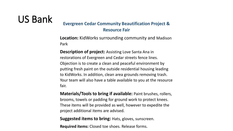### US Bank **Evergreen Cedar Community Beautification Project & Resource Fair**

**Location:** KidWorks surrounding community and Madison Park

**Description of project:** Assisting Love Santa Ana in restorations of Evergreen and Cedar streets fence lines. Objection is to create a clean and peaceful environment by putting fresh paint on the outside residential housing leading to KidWorks. In addition, clean area grounds removing trash. Your team will also have a table available to you at the resource fair.

**Materials/Tools to bring if available:** Paint brushes, rollers, brooms, towels or padding for ground work to protect knees. These items will be provided as well, however to expedite the project additional items are advised.

**Suggested items to bring:** Hats, gloves, sunscreen.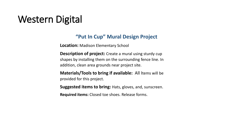### Western Digital

#### **"Put In Cup" Mural Design Project**

**Location:** Madison Elementary School

- **Description of project:** Create a mural using sturdy cup shapes by installing them on the surrounding fence line. In addition, clean area grounds near project site.
- **Materials/Tools to bring if available:** All Items will be provided for this project.
- **Suggested items to bring:** Hats, gloves, and, sunscreen.
- **Required items:** Closed toe shoes. Release forms.